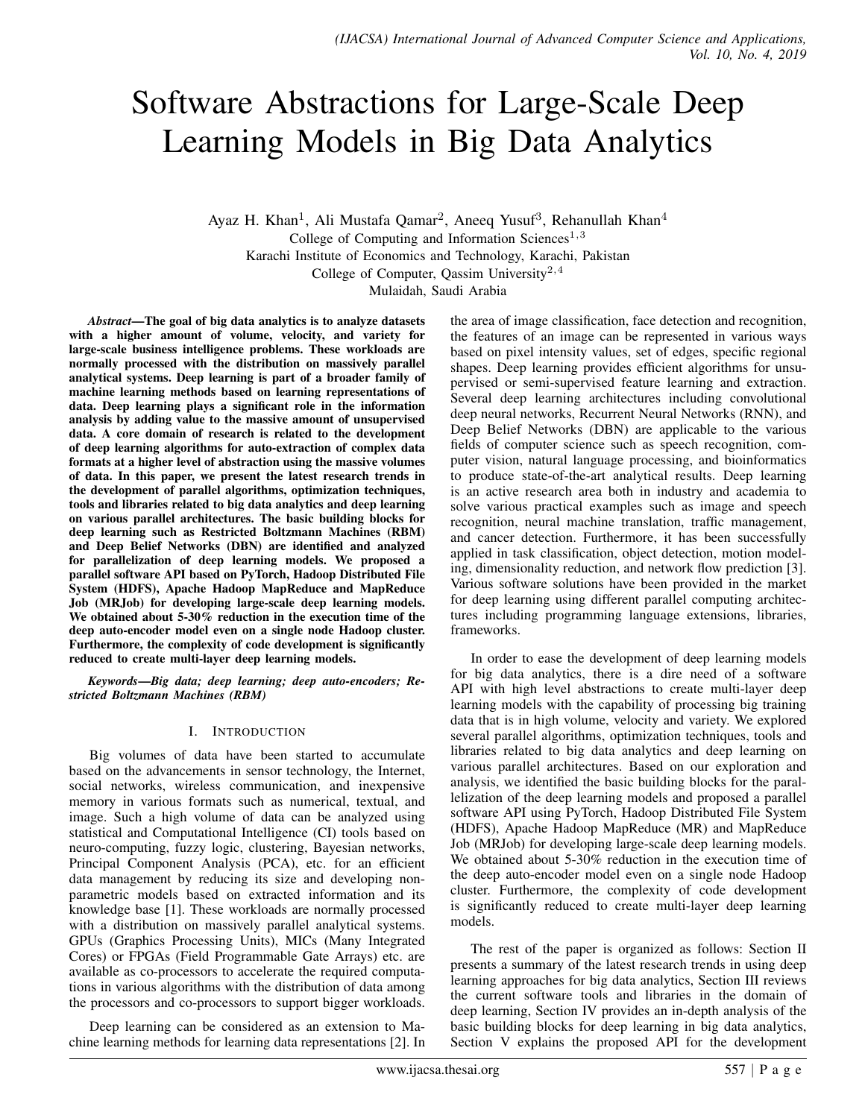# Software Abstractions for Large-Scale Deep Learning Models in Big Data Analytics

Ayaz H. Khan<sup>1</sup>, Ali Mustafa Qamar<sup>2</sup>, Aneeq Yusuf<sup>3</sup>, Rehanullah Khan<sup>4</sup> College of Computing and Information Sciences<sup>1,3</sup>

Karachi Institute of Economics and Technology, Karachi, Pakistan

College of Computer, Qassim University<sup>2,4</sup>

Mulaidah, Saudi Arabia

*Abstract*—The goal of big data analytics is to analyze datasets with a higher amount of volume, velocity, and variety for large-scale business intelligence problems. These workloads are normally processed with the distribution on massively parallel analytical systems. Deep learning is part of a broader family of machine learning methods based on learning representations of data. Deep learning plays a significant role in the information analysis by adding value to the massive amount of unsupervised data. A core domain of research is related to the development of deep learning algorithms for auto-extraction of complex data formats at a higher level of abstraction using the massive volumes of data. In this paper, we present the latest research trends in the development of parallel algorithms, optimization techniques, tools and libraries related to big data analytics and deep learning on various parallel architectures. The basic building blocks for deep learning such as Restricted Boltzmann Machines (RBM) and Deep Belief Networks (DBN) are identified and analyzed for parallelization of deep learning models. We proposed a parallel software API based on PyTorch, Hadoop Distributed File System (HDFS), Apache Hadoop MapReduce and MapReduce Job (MRJob) for developing large-scale deep learning models. We obtained about 5-30% reduction in the execution time of the deep auto-encoder model even on a single node Hadoop cluster. Furthermore, the complexity of code development is significantly reduced to create multi-layer deep learning models.

*Keywords*—*Big data; deep learning; deep auto-encoders; Restricted Boltzmann Machines (RBM)*

#### I. INTRODUCTION

Big volumes of data have been started to accumulate based on the advancements in sensor technology, the Internet, social networks, wireless communication, and inexpensive memory in various formats such as numerical, textual, and image. Such a high volume of data can be analyzed using statistical and Computational Intelligence (CI) tools based on neuro-computing, fuzzy logic, clustering, Bayesian networks, Principal Component Analysis (PCA), etc. for an efficient data management by reducing its size and developing nonparametric models based on extracted information and its knowledge base [1]. These workloads are normally processed with a distribution on massively parallel analytical systems. GPUs (Graphics Processing Units), MICs (Many Integrated Cores) or FPGAs (Field Programmable Gate Arrays) etc. are available as co-processors to accelerate the required computations in various algorithms with the distribution of data among the processors and co-processors to support bigger workloads.

Deep learning can be considered as an extension to Machine learning methods for learning data representations [2]. In the area of image classification, face detection and recognition, the features of an image can be represented in various ways based on pixel intensity values, set of edges, specific regional shapes. Deep learning provides efficient algorithms for unsupervised or semi-supervised feature learning and extraction. Several deep learning architectures including convolutional deep neural networks, Recurrent Neural Networks (RNN), and Deep Belief Networks (DBN) are applicable to the various fields of computer science such as speech recognition, computer vision, natural language processing, and bioinformatics to produce state-of-the-art analytical results. Deep learning is an active research area both in industry and academia to solve various practical examples such as image and speech recognition, neural machine translation, traffic management, and cancer detection. Furthermore, it has been successfully applied in task classification, object detection, motion modeling, dimensionality reduction, and network flow prediction [3]. Various software solutions have been provided in the market for deep learning using different parallel computing architectures including programming language extensions, libraries, frameworks.

In order to ease the development of deep learning models for big data analytics, there is a dire need of a software API with high level abstractions to create multi-layer deep learning models with the capability of processing big training data that is in high volume, velocity and variety. We explored several parallel algorithms, optimization techniques, tools and libraries related to big data analytics and deep learning on various parallel architectures. Based on our exploration and analysis, we identified the basic building blocks for the parallelization of the deep learning models and proposed a parallel software API using PyTorch, Hadoop Distributed File System (HDFS), Apache Hadoop MapReduce (MR) and MapReduce Job (MRJob) for developing large-scale deep learning models. We obtained about 5-30% reduction in the execution time of the deep auto-encoder model even on a single node Hadoop cluster. Furthermore, the complexity of code development is significantly reduced to create multi-layer deep learning models.

The rest of the paper is organized as follows: Section II presents a summary of the latest research trends in using deep learning approaches for big data analytics, Section III reviews the current software tools and libraries in the domain of deep learning, Section IV provides an in-depth analysis of the basic building blocks for deep learning in big data analytics, Section V explains the proposed API for the development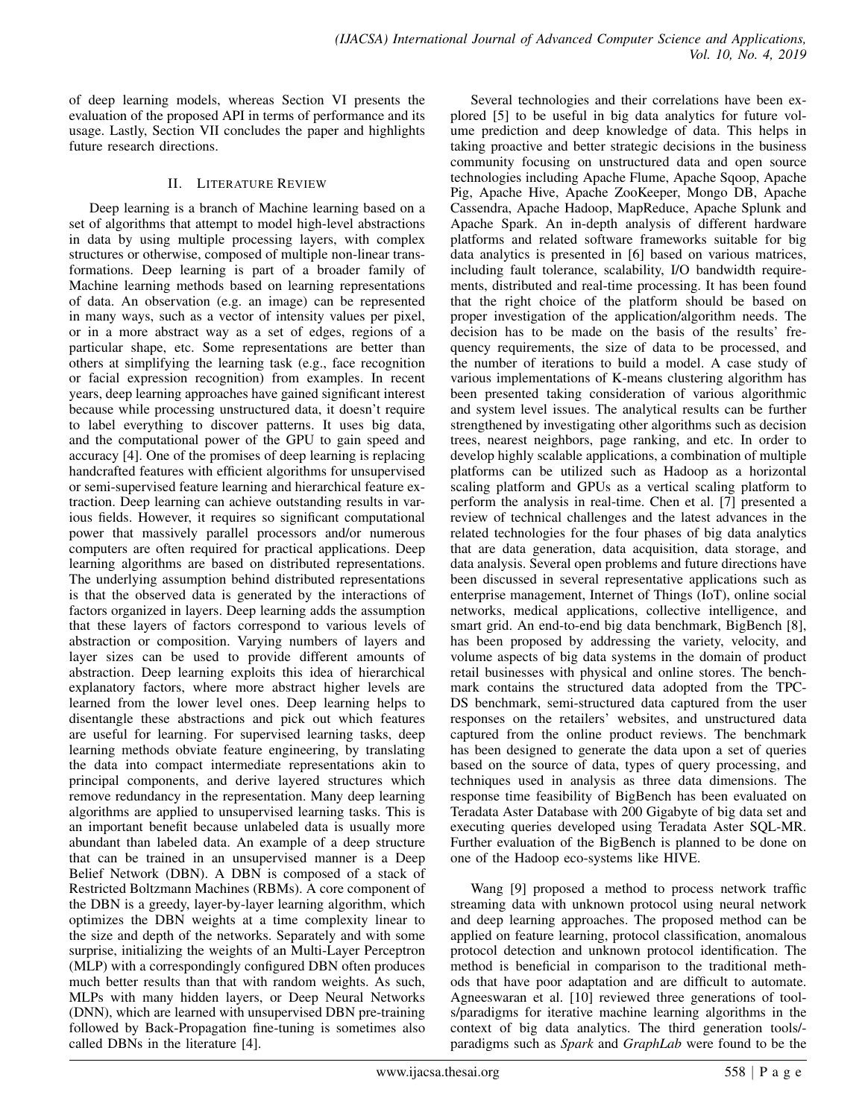of deep learning models, whereas Section VI presents the evaluation of the proposed API in terms of performance and its usage. Lastly, Section VII concludes the paper and highlights future research directions.

## II. LITERATURE REVIEW

Deep learning is a branch of Machine learning based on a set of algorithms that attempt to model high-level abstractions in data by using multiple processing layers, with complex structures or otherwise, composed of multiple non-linear transformations. Deep learning is part of a broader family of Machine learning methods based on learning representations of data. An observation (e.g. an image) can be represented in many ways, such as a vector of intensity values per pixel, or in a more abstract way as a set of edges, regions of a particular shape, etc. Some representations are better than others at simplifying the learning task (e.g., face recognition or facial expression recognition) from examples. In recent years, deep learning approaches have gained significant interest because while processing unstructured data, it doesn't require to label everything to discover patterns. It uses big data, and the computational power of the GPU to gain speed and accuracy [4]. One of the promises of deep learning is replacing handcrafted features with efficient algorithms for unsupervised or semi-supervised feature learning and hierarchical feature extraction. Deep learning can achieve outstanding results in various fields. However, it requires so significant computational power that massively parallel processors and/or numerous computers are often required for practical applications. Deep learning algorithms are based on distributed representations. The underlying assumption behind distributed representations is that the observed data is generated by the interactions of factors organized in layers. Deep learning adds the assumption that these layers of factors correspond to various levels of abstraction or composition. Varying numbers of layers and layer sizes can be used to provide different amounts of abstraction. Deep learning exploits this idea of hierarchical explanatory factors, where more abstract higher levels are learned from the lower level ones. Deep learning helps to disentangle these abstractions and pick out which features are useful for learning. For supervised learning tasks, deep learning methods obviate feature engineering, by translating the data into compact intermediate representations akin to principal components, and derive layered structures which remove redundancy in the representation. Many deep learning algorithms are applied to unsupervised learning tasks. This is an important benefit because unlabeled data is usually more abundant than labeled data. An example of a deep structure that can be trained in an unsupervised manner is a Deep Belief Network (DBN). A DBN is composed of a stack of Restricted Boltzmann Machines (RBMs). A core component of the DBN is a greedy, layer-by-layer learning algorithm, which optimizes the DBN weights at a time complexity linear to the size and depth of the networks. Separately and with some surprise, initializing the weights of an Multi-Layer Perceptron (MLP) with a correspondingly configured DBN often produces much better results than that with random weights. As such, MLPs with many hidden layers, or Deep Neural Networks (DNN), which are learned with unsupervised DBN pre-training followed by Back-Propagation fine-tuning is sometimes also called DBNs in the literature [4].

Several technologies and their correlations have been explored [5] to be useful in big data analytics for future volume prediction and deep knowledge of data. This helps in taking proactive and better strategic decisions in the business community focusing on unstructured data and open source technologies including Apache Flume, Apache Sqoop, Apache Pig, Apache Hive, Apache ZooKeeper, Mongo DB, Apache Cassendra, Apache Hadoop, MapReduce, Apache Splunk and Apache Spark. An in-depth analysis of different hardware platforms and related software frameworks suitable for big data analytics is presented in [6] based on various matrices, including fault tolerance, scalability, I/O bandwidth requirements, distributed and real-time processing. It has been found that the right choice of the platform should be based on proper investigation of the application/algorithm needs. The decision has to be made on the basis of the results' frequency requirements, the size of data to be processed, and the number of iterations to build a model. A case study of various implementations of K-means clustering algorithm has been presented taking consideration of various algorithmic and system level issues. The analytical results can be further strengthened by investigating other algorithms such as decision trees, nearest neighbors, page ranking, and etc. In order to develop highly scalable applications, a combination of multiple platforms can be utilized such as Hadoop as a horizontal scaling platform and GPUs as a vertical scaling platform to perform the analysis in real-time. Chen et al. [7] presented a review of technical challenges and the latest advances in the related technologies for the four phases of big data analytics that are data generation, data acquisition, data storage, and data analysis. Several open problems and future directions have been discussed in several representative applications such as enterprise management, Internet of Things (IoT), online social networks, medical applications, collective intelligence, and smart grid. An end-to-end big data benchmark, BigBench [8], has been proposed by addressing the variety, velocity, and volume aspects of big data systems in the domain of product retail businesses with physical and online stores. The benchmark contains the structured data adopted from the TPC-DS benchmark, semi-structured data captured from the user responses on the retailers' websites, and unstructured data captured from the online product reviews. The benchmark has been designed to generate the data upon a set of queries based on the source of data, types of query processing, and techniques used in analysis as three data dimensions. The response time feasibility of BigBench has been evaluated on Teradata Aster Database with 200 Gigabyte of big data set and executing queries developed using Teradata Aster SQL-MR. Further evaluation of the BigBench is planned to be done on one of the Hadoop eco-systems like HIVE.

Wang [9] proposed a method to process network traffic streaming data with unknown protocol using neural network and deep learning approaches. The proposed method can be applied on feature learning, protocol classification, anomalous protocol detection and unknown protocol identification. The method is beneficial in comparison to the traditional methods that have poor adaptation and are difficult to automate. Agneeswaran et al. [10] reviewed three generations of tools/paradigms for iterative machine learning algorithms in the context of big data analytics. The third generation tools/ paradigms such as *Spark* and *GraphLab* were found to be the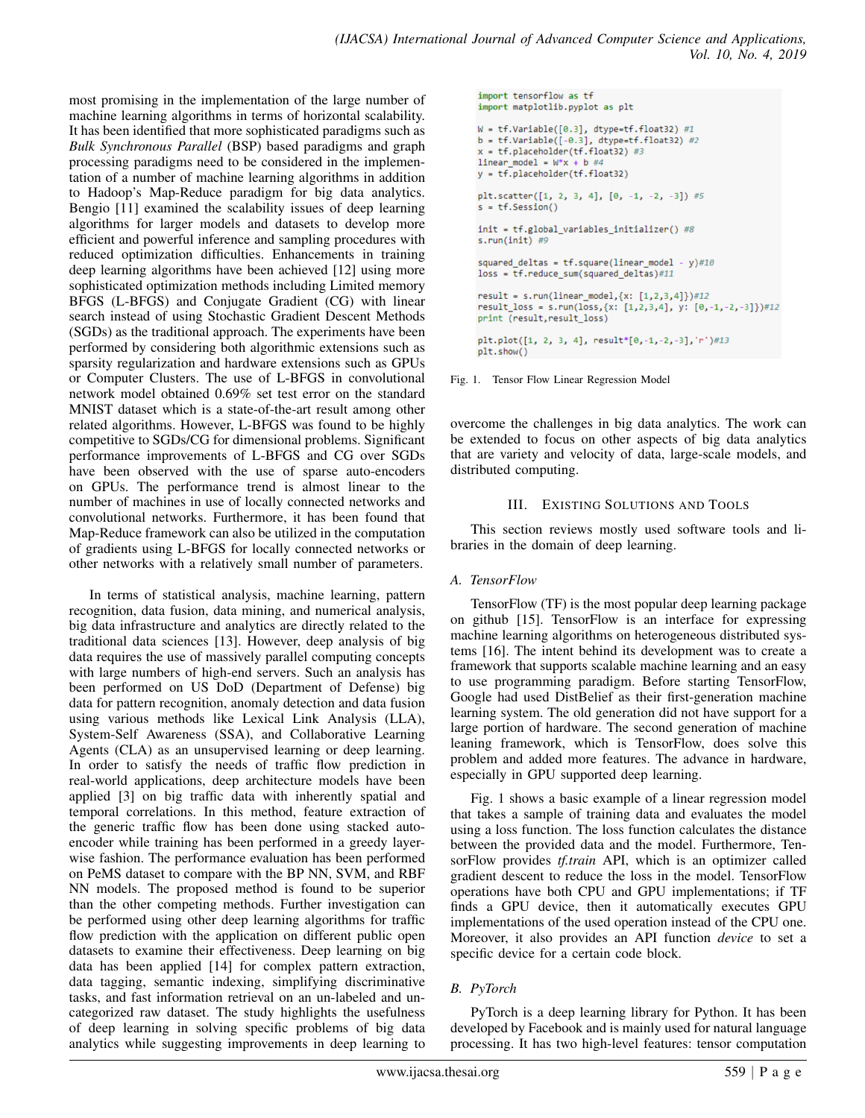most promising in the implementation of the large number of machine learning algorithms in terms of horizontal scalability. It has been identified that more sophisticated paradigms such as *Bulk Synchronous Parallel* (BSP) based paradigms and graph processing paradigms need to be considered in the implementation of a number of machine learning algorithms in addition to Hadoop's Map-Reduce paradigm for big data analytics. Bengio [11] examined the scalability issues of deep learning algorithms for larger models and datasets to develop more efficient and powerful inference and sampling procedures with reduced optimization difficulties. Enhancements in training deep learning algorithms have been achieved [12] using more sophisticated optimization methods including Limited memory BFGS (L-BFGS) and Conjugate Gradient (CG) with linear search instead of using Stochastic Gradient Descent Methods (SGDs) as the traditional approach. The experiments have been performed by considering both algorithmic extensions such as sparsity regularization and hardware extensions such as GPUs or Computer Clusters. The use of L-BFGS in convolutional network model obtained 0.69% set test error on the standard MNIST dataset which is a state-of-the-art result among other related algorithms. However, L-BFGS was found to be highly competitive to SGDs/CG for dimensional problems. Significant performance improvements of L-BFGS and CG over SGDs have been observed with the use of sparse auto-encoders on GPUs. The performance trend is almost linear to the number of machines in use of locally connected networks and convolutional networks. Furthermore, it has been found that Map-Reduce framework can also be utilized in the computation of gradients using L-BFGS for locally connected networks or other networks with a relatively small number of parameters.

In terms of statistical analysis, machine learning, pattern recognition, data fusion, data mining, and numerical analysis, big data infrastructure and analytics are directly related to the traditional data sciences [13]. However, deep analysis of big data requires the use of massively parallel computing concepts with large numbers of high-end servers. Such an analysis has been performed on US DoD (Department of Defense) big data for pattern recognition, anomaly detection and data fusion using various methods like Lexical Link Analysis (LLA), System-Self Awareness (SSA), and Collaborative Learning Agents (CLA) as an unsupervised learning or deep learning. In order to satisfy the needs of traffic flow prediction in real-world applications, deep architecture models have been applied [3] on big traffic data with inherently spatial and temporal correlations. In this method, feature extraction of the generic traffic flow has been done using stacked autoencoder while training has been performed in a greedy layerwise fashion. The performance evaluation has been performed on PeMS dataset to compare with the BP NN, SVM, and RBF NN models. The proposed method is found to be superior than the other competing methods. Further investigation can be performed using other deep learning algorithms for traffic flow prediction with the application on different public open datasets to examine their effectiveness. Deep learning on big data has been applied [14] for complex pattern extraction, data tagging, semantic indexing, simplifying discriminative tasks, and fast information retrieval on an un-labeled and uncategorized raw dataset. The study highlights the usefulness of deep learning in solving specific problems of big data analytics while suggesting improvements in deep learning to

```
import tensorflow as tf
import matplotlib.pyplot as plt
W = tf.Variable([0.3], dtype=tf.float32) #1b = tf.Variable([-0.3], dtype=tf.float32) #2x = tf.placeholder(tf.float32) #3
linear_model = W*x + b #4y = tf.placeholder(tf.float32)
plt.scatter([1, 2, 3, 4], [0, -1, -2, -3]) #5
s = tf.Session()init = tf.global_variables_initializer() #8
s.run(int) #9
squared_deltas = tf.square(linear_model - y)#10
loss = tf.reduce_sum(squared_deltas)#11
result = s.run(linear_model, {x: [1, 2, 3, 4]})#12result_loss = s.run(logs, {x: [1,2,3,4], y: [0, -1, -2, -3]})#12print (result, result_loss)
plt.plot([1, 2, 3, 4], result*[0,-1,-2,-3],'r')#13
plt.show()
```
Fig. 1. Tensor Flow Linear Regression Model

overcome the challenges in big data analytics. The work can be extended to focus on other aspects of big data analytics that are variety and velocity of data, large-scale models, and distributed computing.

## III. EXISTING SOLUTIONS AND TOOLS

This section reviews mostly used software tools and libraries in the domain of deep learning.

## *A. TensorFlow*

TensorFlow (TF) is the most popular deep learning package on github [15]. TensorFlow is an interface for expressing machine learning algorithms on heterogeneous distributed systems [16]. The intent behind its development was to create a framework that supports scalable machine learning and an easy to use programming paradigm. Before starting TensorFlow, Google had used DistBelief as their first-generation machine learning system. The old generation did not have support for a large portion of hardware. The second generation of machine leaning framework, which is TensorFlow, does solve this problem and added more features. The advance in hardware, especially in GPU supported deep learning.

Fig. 1 shows a basic example of a linear regression model that takes a sample of training data and evaluates the model using a loss function. The loss function calculates the distance between the provided data and the model. Furthermore, TensorFlow provides *tf.train* API, which is an optimizer called gradient descent to reduce the loss in the model. TensorFlow operations have both CPU and GPU implementations; if TF finds a GPU device, then it automatically executes GPU implementations of the used operation instead of the CPU one. Moreover, it also provides an API function *device* to set a specific device for a certain code block.

# *B. PyTorch*

PyTorch is a deep learning library for Python. It has been developed by Facebook and is mainly used for natural language processing. It has two high-level features: tensor computation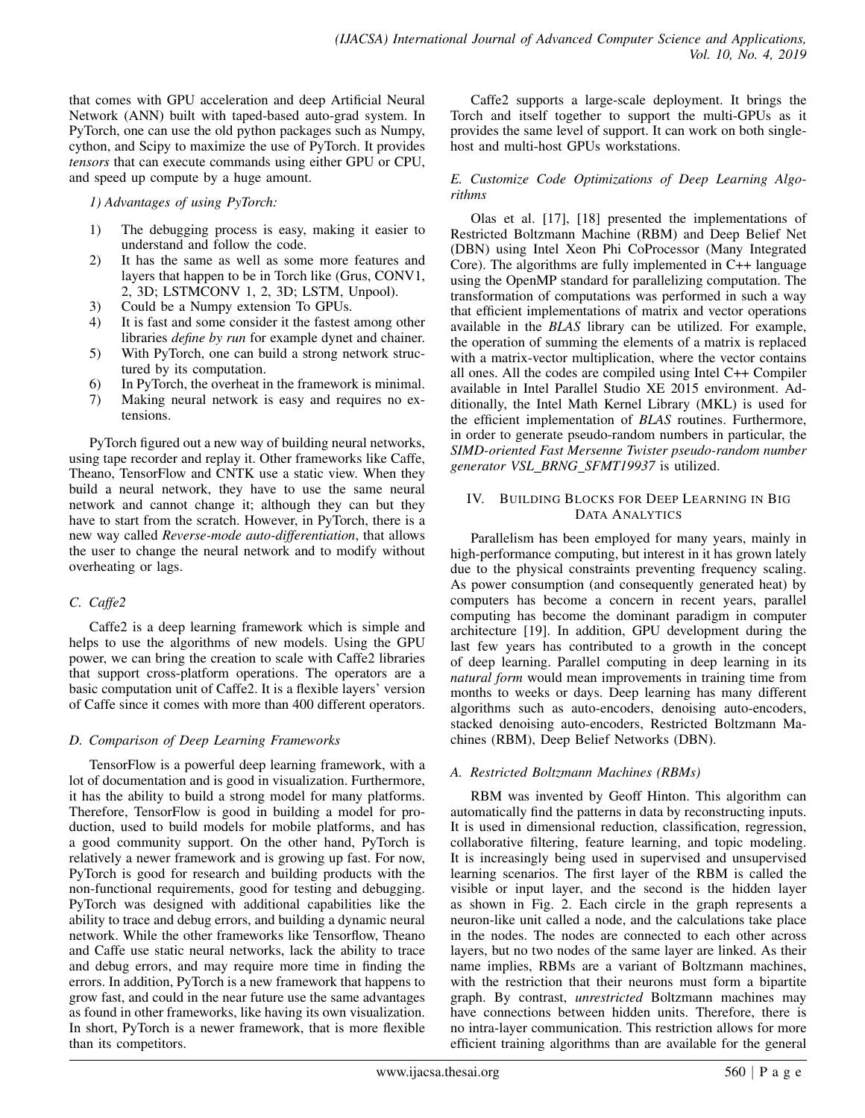that comes with GPU acceleration and deep Artificial Neural Network (ANN) built with taped-based auto-grad system. In PyTorch, one can use the old python packages such as Numpy, cython, and Scipy to maximize the use of PyTorch. It provides *tensors* that can execute commands using either GPU or CPU, and speed up compute by a huge amount.

*1) Advantages of using PyTorch:*

- 1) The debugging process is easy, making it easier to understand and follow the code.
- 2) It has the same as well as some more features and layers that happen to be in Torch like (Grus, CONV1, 2, 3D; LSTMCONV 1, 2, 3D; LSTM, Unpool).
- 3) Could be a Numpy extension To GPUs.
- 4) It is fast and some consider it the fastest among other libraries *define by run* for example dynet and chainer.
- 5) With PyTorch, one can build a strong network structured by its computation.
- 6) In PyTorch, the overheat in the framework is minimal.
- 7) Making neural network is easy and requires no extensions.

PyTorch figured out a new way of building neural networks, using tape recorder and replay it. Other frameworks like Caffe, Theano, TensorFlow and CNTK use a static view. When they build a neural network, they have to use the same neural network and cannot change it; although they can but they have to start from the scratch. However, in PyTorch, there is a new way called *Reverse-mode auto-differentiation*, that allows the user to change the neural network and to modify without overheating or lags.

# *C. Caffe2*

Caffe2 is a deep learning framework which is simple and helps to use the algorithms of new models. Using the GPU power, we can bring the creation to scale with Caffe2 libraries that support cross-platform operations. The operators are a basic computation unit of Caffe2. It is a flexible layers' version of Caffe since it comes with more than 400 different operators.

# *D. Comparison of Deep Learning Frameworks*

TensorFlow is a powerful deep learning framework, with a lot of documentation and is good in visualization. Furthermore, it has the ability to build a strong model for many platforms. Therefore, TensorFlow is good in building a model for production, used to build models for mobile platforms, and has a good community support. On the other hand, PyTorch is relatively a newer framework and is growing up fast. For now, PyTorch is good for research and building products with the non-functional requirements, good for testing and debugging. PyTorch was designed with additional capabilities like the ability to trace and debug errors, and building a dynamic neural network. While the other frameworks like Tensorflow, Theano and Caffe use static neural networks, lack the ability to trace and debug errors, and may require more time in finding the errors. In addition, PyTorch is a new framework that happens to grow fast, and could in the near future use the same advantages as found in other frameworks, like having its own visualization. In short, PyTorch is a newer framework, that is more flexible than its competitors.

Caffe2 supports a large-scale deployment. It brings the Torch and itself together to support the multi-GPUs as it provides the same level of support. It can work on both singlehost and multi-host GPUs workstations.

## *E. Customize Code Optimizations of Deep Learning Algorithms*

Olas et al. [17], [18] presented the implementations of Restricted Boltzmann Machine (RBM) and Deep Belief Net (DBN) using Intel Xeon Phi CoProcessor (Many Integrated Core). The algorithms are fully implemented in C++ language using the OpenMP standard for parallelizing computation. The transformation of computations was performed in such a way that efficient implementations of matrix and vector operations available in the *BLAS* library can be utilized. For example, the operation of summing the elements of a matrix is replaced with a matrix-vector multiplication, where the vector contains all ones. All the codes are compiled using Intel C++ Compiler available in Intel Parallel Studio XE 2015 environment. Additionally, the Intel Math Kernel Library (MKL) is used for the efficient implementation of *BLAS* routines. Furthermore, in order to generate pseudo-random numbers in particular, the *SIMD-oriented Fast Mersenne Twister pseudo-random number generator VSL BRNG SFMT19937* is utilized.

## IV. BUILDING BLOCKS FOR DEEP LEARNING IN BIG DATA ANALYTICS

Parallelism has been employed for many years, mainly in high-performance computing, but interest in it has grown lately due to the physical constraints preventing frequency scaling. As power consumption (and consequently generated heat) by computers has become a concern in recent years, parallel computing has become the dominant paradigm in computer architecture [19]. In addition, GPU development during the last few years has contributed to a growth in the concept of deep learning. Parallel computing in deep learning in its *natural form* would mean improvements in training time from months to weeks or days. Deep learning has many different algorithms such as auto-encoders, denoising auto-encoders, stacked denoising auto-encoders, Restricted Boltzmann Machines (RBM), Deep Belief Networks (DBN).

# *A. Restricted Boltzmann Machines (RBMs)*

RBM was invented by Geoff Hinton. This algorithm can automatically find the patterns in data by reconstructing inputs. It is used in dimensional reduction, classification, regression, collaborative filtering, feature learning, and topic modeling. It is increasingly being used in supervised and unsupervised learning scenarios. The first layer of the RBM is called the visible or input layer, and the second is the hidden layer as shown in Fig. 2. Each circle in the graph represents a neuron-like unit called a node, and the calculations take place in the nodes. The nodes are connected to each other across layers, but no two nodes of the same layer are linked. As their name implies, RBMs are a variant of Boltzmann machines, with the restriction that their neurons must form a bipartite graph. By contrast, *unrestricted* Boltzmann machines may have connections between hidden units. Therefore, there is no intra-layer communication. This restriction allows for more efficient training algorithms than are available for the general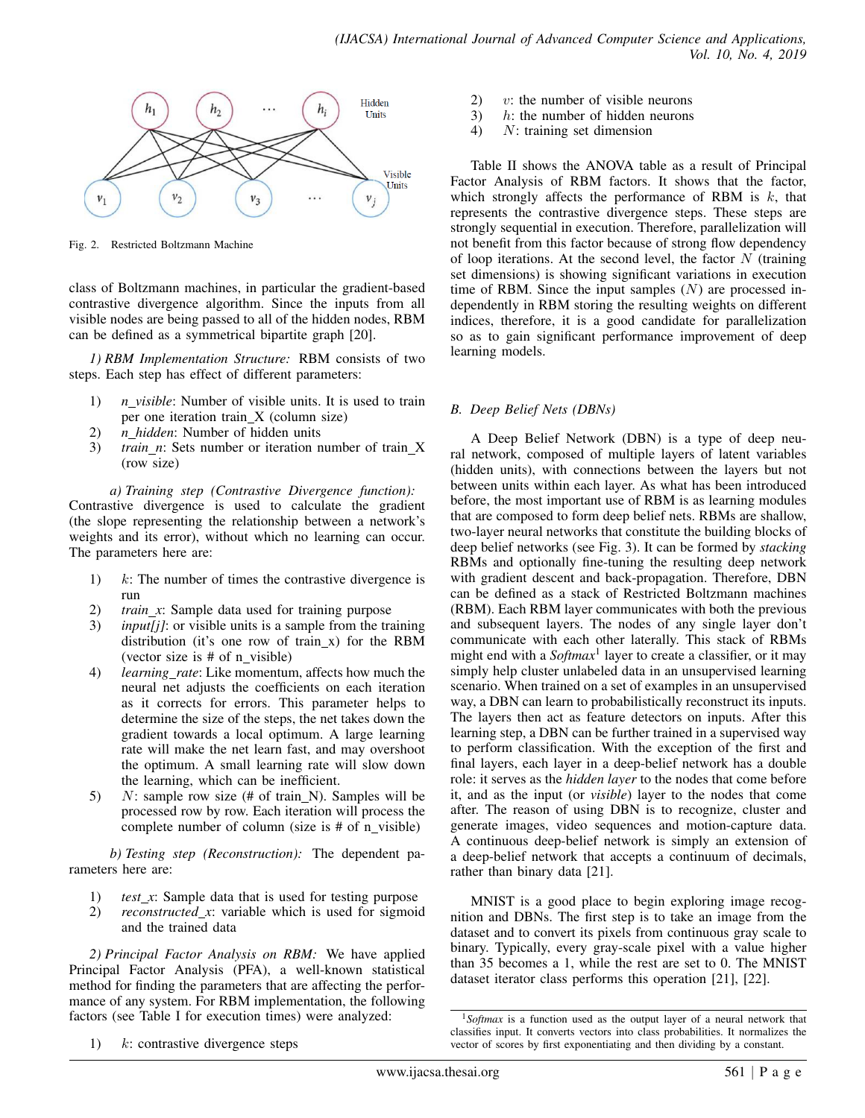

Fig. 2. Restricted Boltzmann Machine

class of Boltzmann machines, in particular the gradient-based contrastive divergence algorithm. Since the inputs from all visible nodes are being passed to all of the hidden nodes, RBM can be defined as a symmetrical bipartite graph [20].

*1) RBM Implementation Structure:* RBM consists of two steps. Each step has effect of different parameters:

- 1) *n visible*: Number of visible units. It is used to train per one iteration train X (column size)
- 2) *n hidden*: Number of hidden units
- 3) *train\_n*: Sets number or iteration number of train\_X (row size)

*a) Training step (Contrastive Divergence function):* Contrastive divergence is used to calculate the gradient (the slope representing the relationship between a network's weights and its error), without which no learning can occur. The parameters here are:

- 1)  $k$ : The number of times the contrastive divergence is run
- 2) *train x*: Sample data used for training purpose
- 3) *input[j]*: or visible units is a sample from the training distribution (it's one row of train x) for the RBM (vector size is  $#$  of n\_visible)
- 4) *learning rate*: Like momentum, affects how much the neural net adjusts the coefficients on each iteration as it corrects for errors. This parameter helps to determine the size of the steps, the net takes down the gradient towards a local optimum. A large learning rate will make the net learn fast, and may overshoot the optimum. A small learning rate will slow down the learning, which can be inefficient.
- 5)  $N:$  sample row size (# of train N). Samples will be processed row by row. Each iteration will process the complete number of column (size is # of n visible)

*b) Testing step (Reconstruction):* The dependent parameters here are:

- 1) *test\_x*: Sample data that is used for testing purpose
- 2) *reconstructed x*: variable which is used for sigmoid and the trained data

*2) Principal Factor Analysis on RBM:* We have applied Principal Factor Analysis (PFA), a well-known statistical method for finding the parameters that are affecting the performance of any system. For RBM implementation, the following factors (see Table I for execution times) were analyzed:

- 2)  $v:$  the number of visible neurons
- 3)  $h$ : the number of hidden neurons
- 4) N: training set dimension

Table II shows the ANOVA table as a result of Principal Factor Analysis of RBM factors. It shows that the factor, which strongly affects the performance of RBM is  $k$ , that represents the contrastive divergence steps. These steps are strongly sequential in execution. Therefore, parallelization will not benefit from this factor because of strong flow dependency of loop iterations. At the second level, the factor  $N$  (training set dimensions) is showing significant variations in execution time of RBM. Since the input samples  $(N)$  are processed independently in RBM storing the resulting weights on different indices, therefore, it is a good candidate for parallelization so as to gain significant performance improvement of deep learning models.

#### *B. Deep Belief Nets (DBNs)*

A Deep Belief Network (DBN) is a type of deep neural network, composed of multiple layers of latent variables (hidden units), with connections between the layers but not between units within each layer. As what has been introduced before, the most important use of RBM is as learning modules that are composed to form deep belief nets. RBMs are shallow, two-layer neural networks that constitute the building blocks of deep belief networks (see Fig. 3). It can be formed by *stacking* RBMs and optionally fine-tuning the resulting deep network with gradient descent and back-propagation. Therefore, DBN can be defined as a stack of Restricted Boltzmann machines (RBM). Each RBM layer communicates with both the previous and subsequent layers. The nodes of any single layer don't communicate with each other laterally. This stack of RBMs might end with a *Softmax*<sup>1</sup> layer to create a classifier, or it may simply help cluster unlabeled data in an unsupervised learning scenario. When trained on a set of examples in an unsupervised way, a DBN can learn to probabilistically reconstruct its inputs. The layers then act as feature detectors on inputs. After this learning step, a DBN can be further trained in a supervised way to perform classification. With the exception of the first and final layers, each layer in a deep-belief network has a double role: it serves as the *hidden layer* to the nodes that come before it, and as the input (or *visible*) layer to the nodes that come after. The reason of using DBN is to recognize, cluster and generate images, video sequences and motion-capture data. A continuous deep-belief network is simply an extension of a deep-belief network that accepts a continuum of decimals, rather than binary data [21].

MNIST is a good place to begin exploring image recognition and DBNs. The first step is to take an image from the dataset and to convert its pixels from continuous gray scale to binary. Typically, every gray-scale pixel with a value higher than 35 becomes a 1, while the rest are set to 0. The MNIST dataset iterator class performs this operation [21], [22].

<sup>1)</sup>  $k$ : contrastive divergence steps

<sup>1</sup>*Softmax* is a function used as the output layer of a neural network that classifies input. It converts vectors into class probabilities. It normalizes the vector of scores by first exponentiating and then dividing by a constant.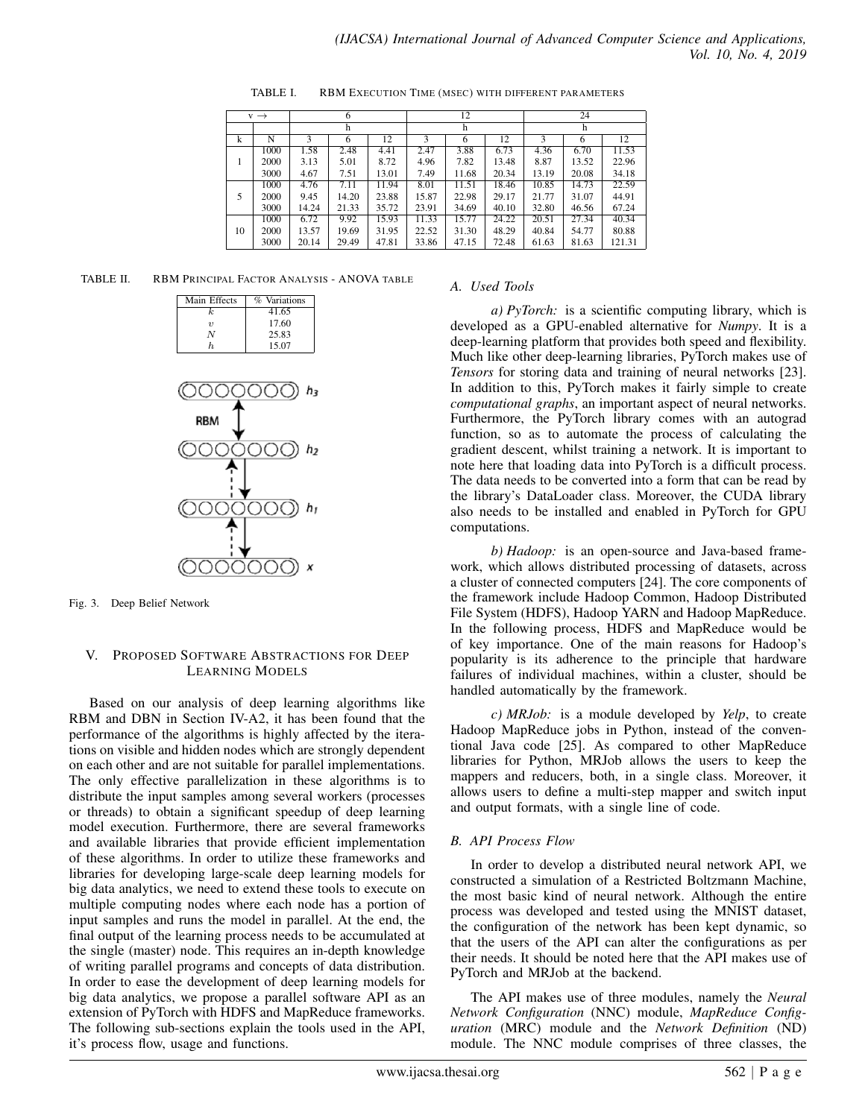| $v \rightarrow$ |      | 6     |       |       | 12    |       |       | 24    |       |        |
|-----------------|------|-------|-------|-------|-------|-------|-------|-------|-------|--------|
|                 |      | h     |       |       | h     |       |       | h     |       |        |
| k               | N    | 3     | 6     | 12    | 3     | 6     | 12    | 3     | 6     | 12     |
|                 | 1000 | 1.58  | 2.48  | 4.41  | 2.47  | 3.88  | 6.73  | 4.36  | 6.70  | 11.53  |
| 1               | 2000 | 3.13  | 5.01  | 8.72  | 4.96  | 7.82  | 13.48 | 8.87  | 13.52 | 22.96  |
|                 | 3000 | 4.67  | 7.51  | 13.01 | 7.49  | 11.68 | 20.34 | 13.19 | 20.08 | 34.18  |
|                 | 1000 | 4.76  | 7.11  | 11.94 | 8.01  | 11.51 | 18.46 | 10.85 | 14.73 | 22.59  |
| 5               | 2000 | 9.45  | 14.20 | 23.88 | 15.87 | 22.98 | 29.17 | 21.77 | 31.07 | 44.91  |
|                 | 3000 | 14.24 | 21.33 | 35.72 | 23.91 | 34.69 | 40.10 | 32.80 | 46.56 | 67.24  |
|                 | 1000 | 6.72  | 9.92  | 15.93 | 11.33 | 15.77 | 24.22 | 20.51 | 27.34 | 40.34  |
| 10              | 2000 | 13.57 | 19.69 | 31.95 | 22.52 | 31.30 | 48.29 | 40.84 | 54.77 | 80.88  |
|                 | 3000 | 20.14 | 29.49 | 47.81 | 33.86 | 47.15 | 72.48 | 61.63 | 81.63 | 121.31 |

TABLE I. RBM EXECUTION TIME (MSEC) WITH DIFFERENT PARAMETERS

TABLE II. RBM PRINCIPAL FACTOR ANALYSIS - ANOVA TABLE

| Main Effects | % Variations |
|--------------|--------------|
| k.           | 41.65        |
| 21           | 17.60        |
| N            | 25.83        |
| h.           | 15.07        |



Fig. 3. Deep Belief Network

#### V. PROPOSED SOFTWARE ABSTRACTIONS FOR DEEP LEARNING MODELS

Based on our analysis of deep learning algorithms like RBM and DBN in Section IV-A2, it has been found that the performance of the algorithms is highly affected by the iterations on visible and hidden nodes which are strongly dependent on each other and are not suitable for parallel implementations. The only effective parallelization in these algorithms is to distribute the input samples among several workers (processes or threads) to obtain a significant speedup of deep learning model execution. Furthermore, there are several frameworks and available libraries that provide efficient implementation of these algorithms. In order to utilize these frameworks and libraries for developing large-scale deep learning models for big data analytics, we need to extend these tools to execute on multiple computing nodes where each node has a portion of input samples and runs the model in parallel. At the end, the final output of the learning process needs to be accumulated at the single (master) node. This requires an in-depth knowledge of writing parallel programs and concepts of data distribution. In order to ease the development of deep learning models for big data analytics, we propose a parallel software API as an extension of PyTorch with HDFS and MapReduce frameworks. The following sub-sections explain the tools used in the API, it's process flow, usage and functions.

## *A. Used Tools*

*a) PyTorch:* is a scientific computing library, which is developed as a GPU-enabled alternative for *Numpy*. It is a deep-learning platform that provides both speed and flexibility. Much like other deep-learning libraries, PyTorch makes use of *Tensors* for storing data and training of neural networks [23]. In addition to this, PyTorch makes it fairly simple to create *computational graphs*, an important aspect of neural networks. Furthermore, the PyTorch library comes with an autograd function, so as to automate the process of calculating the gradient descent, whilst training a network. It is important to note here that loading data into PyTorch is a difficult process. The data needs to be converted into a form that can be read by the library's DataLoader class. Moreover, the CUDA library also needs to be installed and enabled in PyTorch for GPU computations.

*b) Hadoop:* is an open-source and Java-based framework, which allows distributed processing of datasets, across a cluster of connected computers [24]. The core components of the framework include Hadoop Common, Hadoop Distributed File System (HDFS), Hadoop YARN and Hadoop MapReduce. In the following process, HDFS and MapReduce would be of key importance. One of the main reasons for Hadoop's popularity is its adherence to the principle that hardware failures of individual machines, within a cluster, should be handled automatically by the framework.

*c) MRJob:* is a module developed by *Yelp*, to create Hadoop MapReduce jobs in Python, instead of the conventional Java code [25]. As compared to other MapReduce libraries for Python, MRJob allows the users to keep the mappers and reducers, both, in a single class. Moreover, it allows users to define a multi-step mapper and switch input and output formats, with a single line of code.

## *B. API Process Flow*

In order to develop a distributed neural network API, we constructed a simulation of a Restricted Boltzmann Machine, the most basic kind of neural network. Although the entire process was developed and tested using the MNIST dataset, the configuration of the network has been kept dynamic, so that the users of the API can alter the configurations as per their needs. It should be noted here that the API makes use of PyTorch and MRJob at the backend.

The API makes use of three modules, namely the *Neural Network Configuration* (NNC) module, *MapReduce Configuration* (MRC) module and the *Network Definition* (ND) module. The NNC module comprises of three classes, the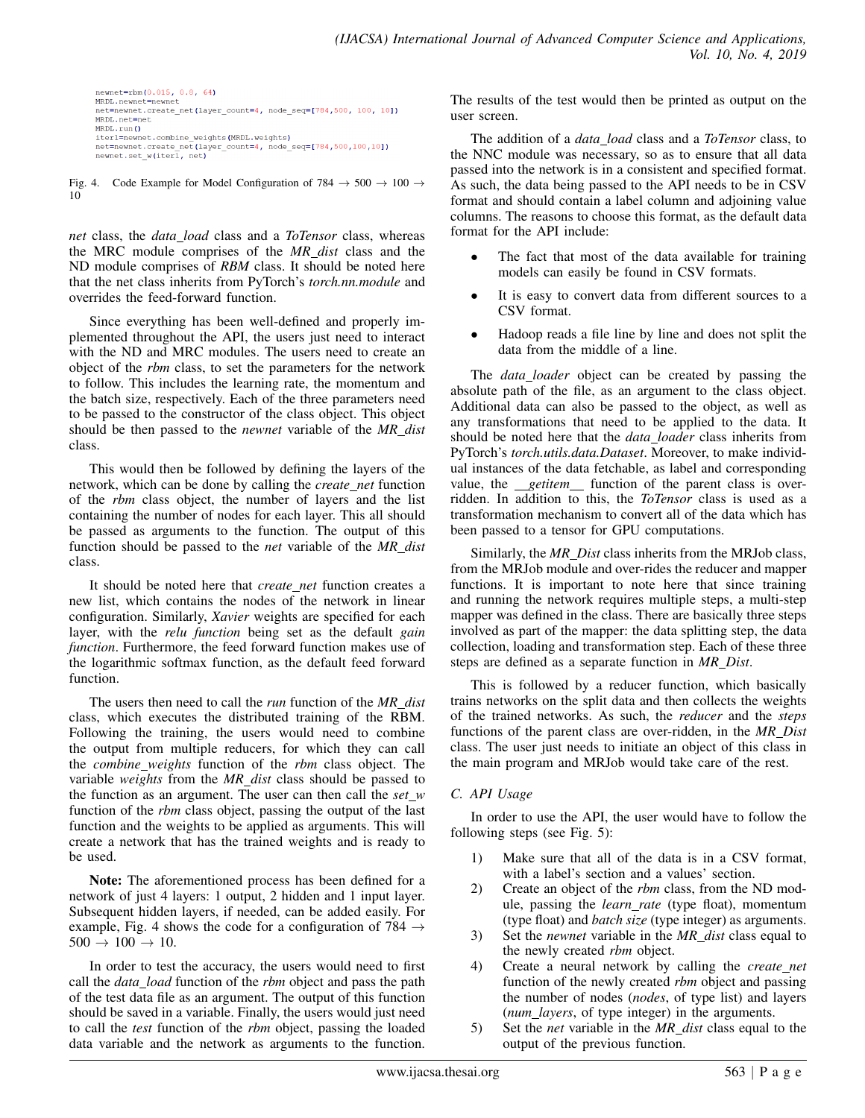```
\begin{minipage}{.4\linewidth} \begin{tabular}{l} {\bf newnet=rbm(0.015, 0.8, 64)} \\ \text{MRDL.newnet=newnet} \end{tabular} \end{minipage}net=newnet.create_net(layer_count=4, node_seq=[784,500, 100, 10])
MRDL.net=net
MRDL.run()
ntubus.iut, ventiline_weights(MRDL.weights)<br>net=newnet.create_net(layer_count=4, node_seq=[784,500,100,10])<br>newnet.set_w(iterl, net)
```
Fig. 4. Code Example for Model Configuration of  $784 \rightarrow 500 \rightarrow 100 \rightarrow$ 10

*net* class, the *data load* class and a *ToTensor* class, whereas the MRC module comprises of the *MR dist* class and the ND module comprises of *RBM* class. It should be noted here that the net class inherits from PyTorch's *torch.nn.module* and overrides the feed-forward function.

Since everything has been well-defined and properly implemented throughout the API, the users just need to interact with the ND and MRC modules. The users need to create an object of the *rbm* class, to set the parameters for the network to follow. This includes the learning rate, the momentum and the batch size, respectively. Each of the three parameters need to be passed to the constructor of the class object. This object should be then passed to the *newnet* variable of the *MR dist* class.

This would then be followed by defining the layers of the network, which can be done by calling the *create net* function of the *rbm* class object, the number of layers and the list containing the number of nodes for each layer. This all should be passed as arguments to the function. The output of this function should be passed to the *net* variable of the *MR dist* class.

It should be noted here that *create net* function creates a new list, which contains the nodes of the network in linear configuration. Similarly, *Xavier* weights are specified for each layer, with the *relu function* being set as the default *gain function*. Furthermore, the feed forward function makes use of the logarithmic softmax function, as the default feed forward function.

The users then need to call the *run* function of the *MR dist* class, which executes the distributed training of the RBM. Following the training, the users would need to combine the output from multiple reducers, for which they can call the *combine weights* function of the *rbm* class object. The variable *weights* from the *MR dist* class should be passed to the function as an argument. The user can then call the  $set_w$ function of the *rbm* class object, passing the output of the last function and the weights to be applied as arguments. This will create a network that has the trained weights and is ready to be used.

Note: The aforementioned process has been defined for a network of just 4 layers: 1 output, 2 hidden and 1 input layer. Subsequent hidden layers, if needed, can be added easily. For example, Fig. 4 shows the code for a configuration of 784  $\rightarrow$  $500 \to 100 \to 10$ .

In order to test the accuracy, the users would need to first call the *data load* function of the *rbm* object and pass the path of the test data file as an argument. The output of this function should be saved in a variable. Finally, the users would just need to call the *test* function of the *rbm* object, passing the loaded data variable and the network as arguments to the function.

The results of the test would then be printed as output on the user screen.

The addition of a *data load* class and a *ToTensor* class, to the NNC module was necessary, so as to ensure that all data passed into the network is in a consistent and specified format. As such, the data being passed to the API needs to be in CSV format and should contain a label column and adjoining value columns. The reasons to choose this format, as the default data format for the API include:

- The fact that most of the data available for training models can easily be found in CSV formats.
- It is easy to convert data from different sources to a CSV format.
- Hadoop reads a file line by line and does not split the data from the middle of a line.

The *data loader* object can be created by passing the absolute path of the file, as an argument to the class object. Additional data can also be passed to the object, as well as any transformations that need to be applied to the data. It should be noted here that the *data loader* class inherits from PyTorch's *torch.utils.data.Dataset*. Moreover, to make individual instances of the data fetchable, as label and corresponding value, the *getitem* function of the parent class is overridden. In addition to this, the *ToTensor* class is used as a transformation mechanism to convert all of the data which has been passed to a tensor for GPU computations.

Similarly, the *MR Dist* class inherits from the MRJob class, from the MRJob module and over-rides the reducer and mapper functions. It is important to note here that since training and running the network requires multiple steps, a multi-step mapper was defined in the class. There are basically three steps involved as part of the mapper: the data splitting step, the data collection, loading and transformation step. Each of these three steps are defined as a separate function in *MR Dist*.

This is followed by a reducer function, which basically trains networks on the split data and then collects the weights of the trained networks. As such, the *reducer* and the *steps* functions of the parent class are over-ridden, in the *MR Dist* class. The user just needs to initiate an object of this class in the main program and MRJob would take care of the rest.

## *C. API Usage*

In order to use the API, the user would have to follow the following steps (see Fig. 5):

- 1) Make sure that all of the data is in a CSV format, with a label's section and a values' section.
- 2) Create an object of the *rbm* class, from the ND module, passing the *learn rate* (type float), momentum (type float) and *batch size* (type integer) as arguments.
- 3) Set the *newnet* variable in the *MR dist* class equal to the newly created *rbm* object.
- 4) Create a neural network by calling the *create net* function of the newly created *rbm* object and passing the number of nodes (*nodes*, of type list) and layers (*num layers*, of type integer) in the arguments.
- 5) Set the *net* variable in the *MR dist* class equal to the output of the previous function.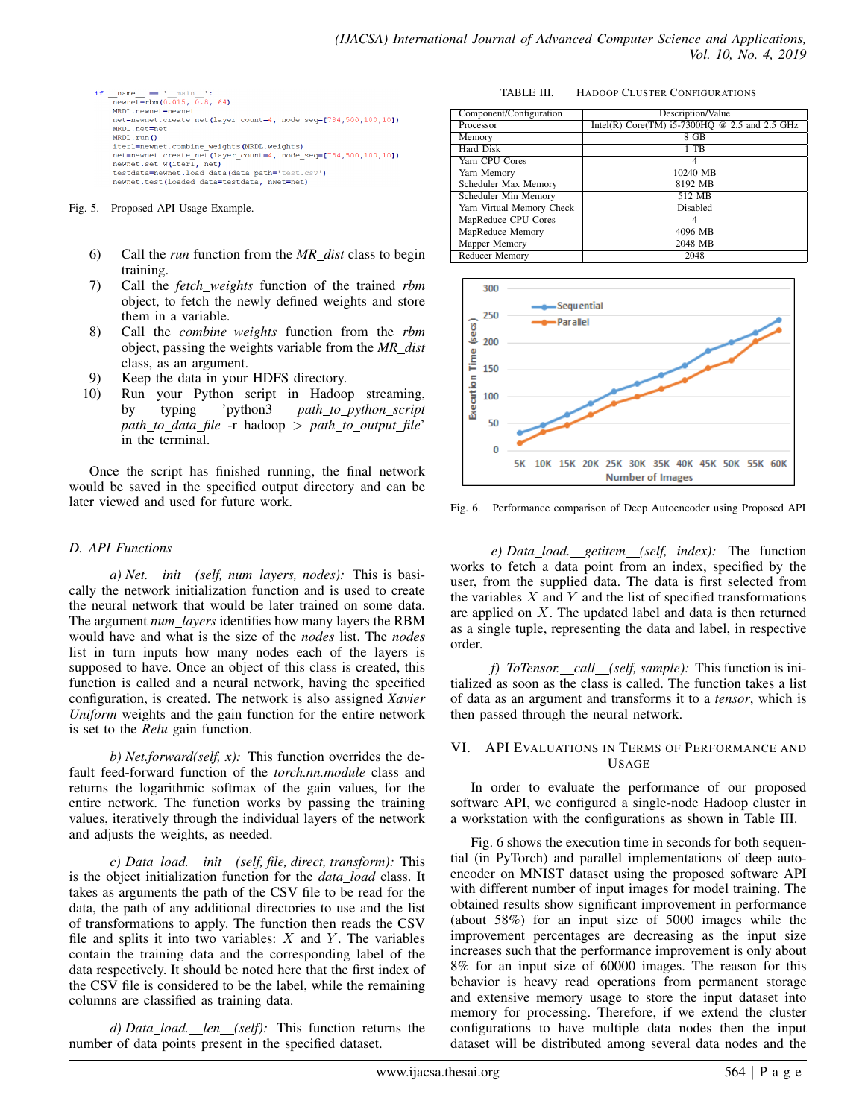

Fig. 5. Proposed API Usage Example.

- 6) Call the *run* function from the *MR dist* class to begin training.
- 7) Call the *fetch weights* function of the trained *rbm* object, to fetch the newly defined weights and store them in a variable.
- 8) Call the *combine weights* function from the *rbm* object, passing the weights variable from the *MR dist* class, as an argument.
- 9) Keep the data in your HDFS directory.
- 10) Run your Python script in Hadoop streaming, by typing 'python3 *path to python script path to data file* -r hadoop > *path to output file*' in the terminal.

Once the script has finished running, the final network would be saved in the specified output directory and can be later viewed and used for future work.

## *D. API Functions*

*a) Net. init (self, num layers, nodes):* This is basically the network initialization function and is used to create the neural network that would be later trained on some data. The argument *num layers* identifies how many layers the RBM would have and what is the size of the *nodes* list. The *nodes* list in turn inputs how many nodes each of the layers is supposed to have. Once an object of this class is created, this function is called and a neural network, having the specified configuration, is created. The network is also assigned *Xavier Uniform* weights and the gain function for the entire network is set to the *Relu* gain function.

*b) Net.forward(self, x):* This function overrides the default feed-forward function of the *torch.nn.module* class and returns the logarithmic softmax of the gain values, for the entire network. The function works by passing the training values, iteratively through the individual layers of the network and adjusts the weights, as needed.

*c) Data load. init (self, file, direct, transform):* This is the object initialization function for the *data load* class. It takes as arguments the path of the CSV file to be read for the data, the path of any additional directories to use and the list of transformations to apply. The function then reads the CSV file and splits it into two variables:  $X$  and  $Y$ . The variables contain the training data and the corresponding label of the data respectively. It should be noted here that the first index of the CSV file is considered to be the label, while the remaining columns are classified as training data.

*d) Data load. len (self):* This function returns the number of data points present in the specified dataset.

TABLE III. HADOOP CLUSTER CONFIGURATIONS

| Component/Configuration   | Description/Value                               |  |  |  |
|---------------------------|-------------------------------------------------|--|--|--|
| Processor                 | Intel(R) Core(TM) $i5-7300HQ$ @ 2.5 and 2.5 GHz |  |  |  |
| Memory                    | $8$ GB                                          |  |  |  |
| Hard Disk                 | $1$ TB                                          |  |  |  |
| Yarn CPU Cores            |                                                 |  |  |  |
| Yarn Memory               | 10240 MB                                        |  |  |  |
| Scheduler Max Memory      | 8192 MB                                         |  |  |  |
| Scheduler Min Memory      | 512 MB                                          |  |  |  |
| Yarn Virtual Memory Check | Disabled                                        |  |  |  |
| MapReduce CPU Cores       |                                                 |  |  |  |
| MapReduce Memory          | 4096 MB                                         |  |  |  |
| <b>Mapper Memory</b>      | 2048 MB                                         |  |  |  |
| Reducer Memory            | 2048                                            |  |  |  |



Fig. 6. Performance comparison of Deep Autoencoder using Proposed API

*e) Data load. getitem (self, index):* The function works to fetch a data point from an index, specified by the user, from the supplied data. The data is first selected from the variables  $X$  and  $Y$  and the list of specified transformations are applied on X. The updated label and data is then returned as a single tuple, representing the data and label, in respective order.

*f) ToTensor. call (self, sample):* This function is initialized as soon as the class is called. The function takes a list of data as an argument and transforms it to a *tensor*, which is then passed through the neural network.

## VI. API EVALUATIONS IN TERMS OF PERFORMANCE AND USAGE

In order to evaluate the performance of our proposed software API, we configured a single-node Hadoop cluster in a workstation with the configurations as shown in Table III.

Fig. 6 shows the execution time in seconds for both sequential (in PyTorch) and parallel implementations of deep autoencoder on MNIST dataset using the proposed software API with different number of input images for model training. The obtained results show significant improvement in performance (about 58%) for an input size of 5000 images while the improvement percentages are decreasing as the input size increases such that the performance improvement is only about 8% for an input size of 60000 images. The reason for this behavior is heavy read operations from permanent storage and extensive memory usage to store the input dataset into memory for processing. Therefore, if we extend the cluster configurations to have multiple data nodes then the input dataset will be distributed among several data nodes and the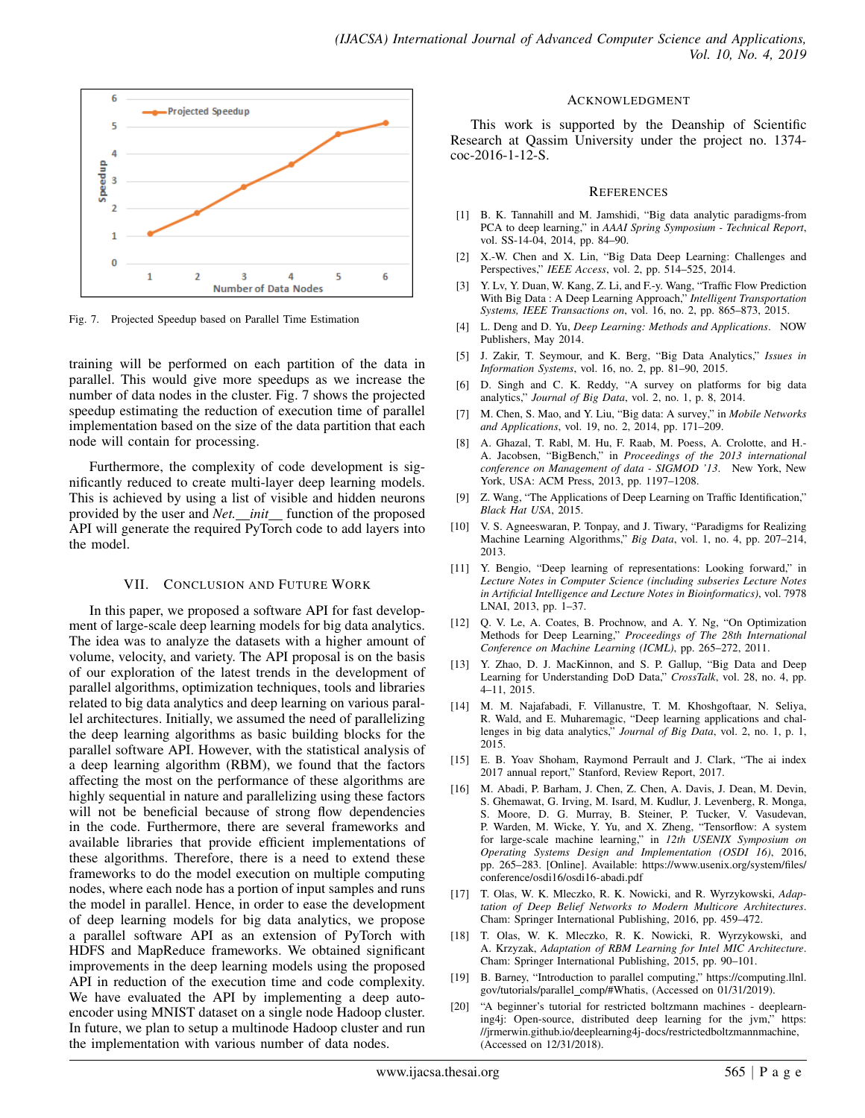

Fig. 7. Projected Speedup based on Parallel Time Estimation

training will be performed on each partition of the data in parallel. This would give more speedups as we increase the number of data nodes in the cluster. Fig. 7 shows the projected speedup estimating the reduction of execution time of parallel implementation based on the size of the data partition that each node will contain for processing.

Furthermore, the complexity of code development is significantly reduced to create multi-layer deep learning models. This is achieved by using a list of visible and hidden neurons provided by the user and *Net. init* function of the proposed API will generate the required PyTorch code to add layers into the model.

## VII. CONCLUSION AND FUTURE WORK

In this paper, we proposed a software API for fast development of large-scale deep learning models for big data analytics. The idea was to analyze the datasets with a higher amount of volume, velocity, and variety. The API proposal is on the basis of our exploration of the latest trends in the development of parallel algorithms, optimization techniques, tools and libraries related to big data analytics and deep learning on various parallel architectures. Initially, we assumed the need of parallelizing the deep learning algorithms as basic building blocks for the parallel software API. However, with the statistical analysis of a deep learning algorithm (RBM), we found that the factors affecting the most on the performance of these algorithms are highly sequential in nature and parallelizing using these factors will not be beneficial because of strong flow dependencies in the code. Furthermore, there are several frameworks and available libraries that provide efficient implementations of these algorithms. Therefore, there is a need to extend these frameworks to do the model execution on multiple computing nodes, where each node has a portion of input samples and runs the model in parallel. Hence, in order to ease the development of deep learning models for big data analytics, we propose a parallel software API as an extension of PyTorch with HDFS and MapReduce frameworks. We obtained significant improvements in the deep learning models using the proposed API in reduction of the execution time and code complexity. We have evaluated the API by implementing a deep autoencoder using MNIST dataset on a single node Hadoop cluster. In future, we plan to setup a multinode Hadoop cluster and run the implementation with various number of data nodes.

## ACKNOWLEDGMENT

This work is supported by the Deanship of Scientific Research at Qassim University under the project no. 1374 coc-2016-1-12-S.

#### **REFERENCES**

- [1] B. K. Tannahill and M. Jamshidi, "Big data analytic paradigms-from PCA to deep learning," in *AAAI Spring Symposium - Technical Report*, vol. SS-14-04, 2014, pp. 84–90.
- [2] X.-W. Chen and X. Lin, "Big Data Deep Learning: Challenges and Perspectives," *IEEE Access*, vol. 2, pp. 514–525, 2014.
- [3] Y. Lv, Y. Duan, W. Kang, Z. Li, and F.-y. Wang, "Traffic Flow Prediction With Big Data : A Deep Learning Approach," *Intelligent Transportation Systems, IEEE Transactions on*, vol. 16, no. 2, pp. 865–873, 2015.
- [4] L. Deng and D. Yu, *Deep Learning: Methods and Applications*. NOW Publishers, May 2014.
- [5] J. Zakir, T. Seymour, and K. Berg, "Big Data Analytics," *Issues in Information Systems*, vol. 16, no. 2, pp. 81–90, 2015.
- [6] D. Singh and C. K. Reddy, "A survey on platforms for big data analytics," *Journal of Big Data*, vol. 2, no. 1, p. 8, 2014.
- [7] M. Chen, S. Mao, and Y. Liu, "Big data: A survey," in *Mobile Networks and Applications*, vol. 19, no. 2, 2014, pp. 171–209.
- [8] A. Ghazal, T. Rabl, M. Hu, F. Raab, M. Poess, A. Crolotte, and H.- A. Jacobsen, "BigBench," in *Proceedings of the 2013 international conference on Management of data - SIGMOD '13*. New York, New York, USA: ACM Press, 2013, pp. 1197–1208.
- [9] Z. Wang, "The Applications of Deep Learning on Traffic Identification," *Black Hat USA*, 2015.
- [10] V. S. Agneeswaran, P. Tonpay, and J. Tiwary, "Paradigms for Realizing Machine Learning Algorithms," *Big Data*, vol. 1, no. 4, pp. 207–214, 2013.
- [11] Y. Bengio, "Deep learning of representations: Looking forward," in *Lecture Notes in Computer Science (including subseries Lecture Notes in Artificial Intelligence and Lecture Notes in Bioinformatics)*, vol. 7978 LNAI, 2013, pp. 1–37.
- [12] Q. V. Le, A. Coates, B. Prochnow, and A. Y. Ng, "On Optimization Methods for Deep Learning," *Proceedings of The 28th International Conference on Machine Learning (ICML)*, pp. 265–272, 2011.
- [13] Y. Zhao, D. J. MacKinnon, and S. P. Gallup, "Big Data and Deep Learning for Understanding DoD Data," *CrossTalk*, vol. 28, no. 4, pp. 4–11, 2015.
- [14] M. M. Najafabadi, F. Villanustre, T. M. Khoshgoftaar, N. Seliya, R. Wald, and E. Muharemagic, "Deep learning applications and challenges in big data analytics," *Journal of Big Data*, vol. 2, no. 1, p. 1, 2015.
- [15] E. B. Yoav Shoham, Raymond Perrault and J. Clark, "The ai index 2017 annual report," Stanford, Review Report, 2017.
- [16] M. Abadi, P. Barham, J. Chen, Z. Chen, A. Davis, J. Dean, M. Devin, S. Ghemawat, G. Irving, M. Isard, M. Kudlur, J. Levenberg, R. Monga, S. Moore, D. G. Murray, B. Steiner, P. Tucker, V. Vasudevan, P. Warden, M. Wicke, Y. Yu, and X. Zheng, "Tensorflow: A system for large-scale machine learning," in *12th USENIX Symposium on Operating Systems Design and Implementation (OSDI 16)*, 2016, pp. 265–283. [Online]. Available: https://www.usenix.org/system/files/ conference/osdi16/osdi16-abadi.pdf
- [17] T. Olas, W. K. Mleczko, R. K. Nowicki, and R. Wyrzykowski, *Adaptation of Deep Belief Networks to Modern Multicore Architectures*. Cham: Springer International Publishing, 2016, pp. 459–472.
- [18] T. Olas, W. K. Mleczko, R. K. Nowicki, R. Wyrzykowski, and A. Krzyzak, *Adaptation of RBM Learning for Intel MIC Architecture*. Cham: Springer International Publishing, 2015, pp. 90–101.
- [19] B. Barney, "Introduction to parallel computing," https://computing.llnl. gov/tutorials/parallel\_comp/#Whatis, (Accessed on 01/31/2019).
- [20] "A beginner's tutorial for restricted boltzmann machines deeplearning4j: Open-source, distributed deep learning for the jvm," https: //jrmerwin.github.io/deeplearning4j-docs/restrictedboltzmannmachine, (Accessed on 12/31/2018).